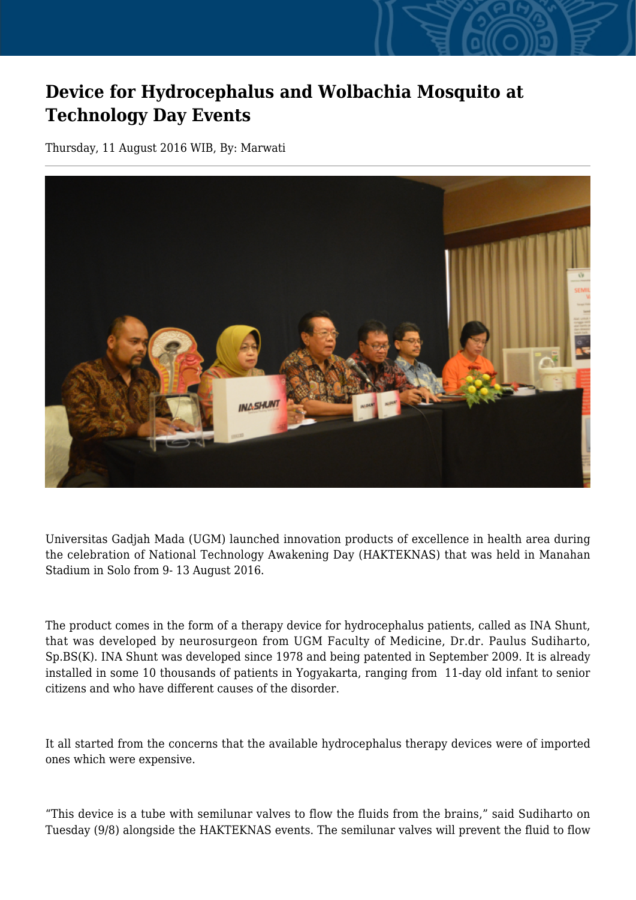## **Device for Hydrocephalus and Wolbachia Mosquito at Technology Day Events**

Thursday, 11 August 2016 WIB, By: Marwati



Universitas Gadjah Mada (UGM) launched innovation products of excellence in health area during the celebration of National Technology Awakening Day (HAKTEKNAS) that was held in Manahan Stadium in Solo from 9- 13 August 2016.

The product comes in the form of a therapy device for hydrocephalus patients, called as INA Shunt, that was developed by neurosurgeon from UGM Faculty of Medicine, Dr.dr. Paulus Sudiharto, Sp.BS(K). INA Shunt was developed since 1978 and being patented in September 2009. It is already installed in some 10 thousands of patients in Yogyakarta, ranging from 11-day old infant to senior citizens and who have different causes of the disorder.

It all started from the concerns that the available hydrocephalus therapy devices were of imported ones which were expensive.

"This device is a tube with semilunar valves to flow the fluids from the brains," said Sudiharto on Tuesday (9/8) alongside the HAKTEKNAS events. The semilunar valves will prevent the fluid to flow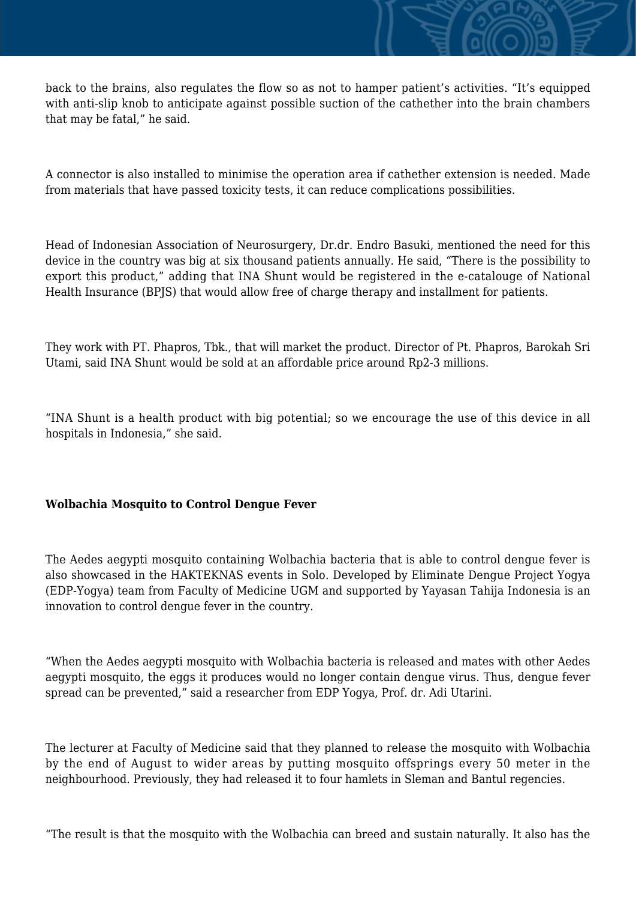back to the brains, also regulates the flow so as not to hamper patient's activities. "It's equipped with anti-slip knob to anticipate against possible suction of the cathether into the brain chambers that may be fatal," he said.

A connector is also installed to minimise the operation area if cathether extension is needed. Made from materials that have passed toxicity tests, it can reduce complications possibilities.

Head of Indonesian Association of Neurosurgery, Dr.dr. Endro Basuki, mentioned the need for this device in the country was big at six thousand patients annually. He said, "There is the possibility to export this product," adding that INA Shunt would be registered in the e-catalouge of National Health Insurance (BPJS) that would allow free of charge therapy and installment for patients.

They work with PT. Phapros, Tbk., that will market the product. Director of Pt. Phapros, Barokah Sri Utami, said INA Shunt would be sold at an affordable price around Rp2-3 millions.

"INA Shunt is a health product with big potential; so we encourage the use of this device in all hospitals in Indonesia," she said.

## **Wolbachia Mosquito to Control Dengue Fever**

The Aedes aegypti mosquito containing Wolbachia bacteria that is able to control dengue fever is also showcased in the HAKTEKNAS events in Solo. Developed by Eliminate Dengue Project Yogya (EDP-Yogya) team from Faculty of Medicine UGM and supported by Yayasan Tahija Indonesia is an innovation to control dengue fever in the country.

"When the Aedes aegypti mosquito with Wolbachia bacteria is released and mates with other Aedes aegypti mosquito, the eggs it produces would no longer contain dengue virus. Thus, dengue fever spread can be prevented," said a researcher from EDP Yogya, Prof. dr. Adi Utarini.

The lecturer at Faculty of Medicine said that they planned to release the mosquito with Wolbachia by the end of August to wider areas by putting mosquito offsprings every 50 meter in the neighbourhood. Previously, they had released it to four hamlets in Sleman and Bantul regencies.

"The result is that the mosquito with the Wolbachia can breed and sustain naturally. It also has the